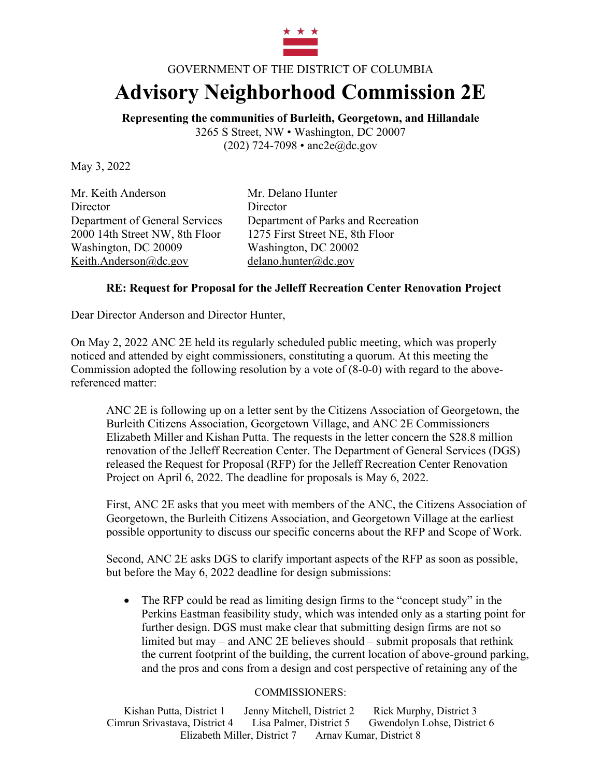

## GOVERNMENT OF THE DISTRICT OF COLUMBIA

## **Advisory Neighborhood Commission 2E**

**Representing the communities of Burleith, Georgetown, and Hillandale** 3265 S Street, NW • Washington, DC 20007 (202) 724-7098 • anc2e@dc.gov

May 3, 2022

Mr. Keith Anderson Mr. Delano Hunter Director Director 2000 14th Street NW, 8th Floor 1275 First Street NE, 8th Floor Washington, DC 20009 Washington, DC 20002 Keith.Anderson@dc.gov delano.hunter@dc.gov

Department of General Services Department of Parks and Recreation

## **RE: Request for Proposal for the Jelleff Recreation Center Renovation Project**

Dear Director Anderson and Director Hunter,

On May 2, 2022 ANC 2E held its regularly scheduled public meeting, which was properly noticed and attended by eight commissioners, constituting a quorum. At this meeting the Commission adopted the following resolution by a vote of (8-0-0) with regard to the abovereferenced matter:

ANC 2E is following up on a letter sent by the Citizens Association of Georgetown, the Burleith Citizens Association, Georgetown Village, and ANC 2E Commissioners Elizabeth Miller and Kishan Putta. The requests in the letter concern the \$28.8 million renovation of the Jelleff Recreation Center. The Department of General Services (DGS) released the Request for Proposal (RFP) for the Jelleff Recreation Center Renovation Project on April 6, 2022. The deadline for proposals is May 6, 2022.

First, ANC 2E asks that you meet with members of the ANC, the Citizens Association of Georgetown, the Burleith Citizens Association, and Georgetown Village at the earliest possible opportunity to discuss our specific concerns about the RFP and Scope of Work.

Second, ANC 2E asks DGS to clarify important aspects of the RFP as soon as possible, but before the May 6, 2022 deadline for design submissions:

• The RFP could be read as limiting design firms to the "concept study" in the Perkins Eastman feasibility study, which was intended only as a starting point for further design. DGS must make clear that submitting design firms are not so limited but may – and ANC 2E believes should – submit proposals that rethink the current footprint of the building, the current location of above-ground parking, and the pros and cons from a design and cost perspective of retaining any of the

## COMMISSIONERS:

Kishan Putta, District 1 Jenny Mitchell, District 2 Rick Murphy, District 3 Cimrun Srivastava, District 4 Lisa Palmer, District 5 Gwendolyn Lohse, District 6 Elizabeth Miller, District 7 Arnav Kumar, District 8